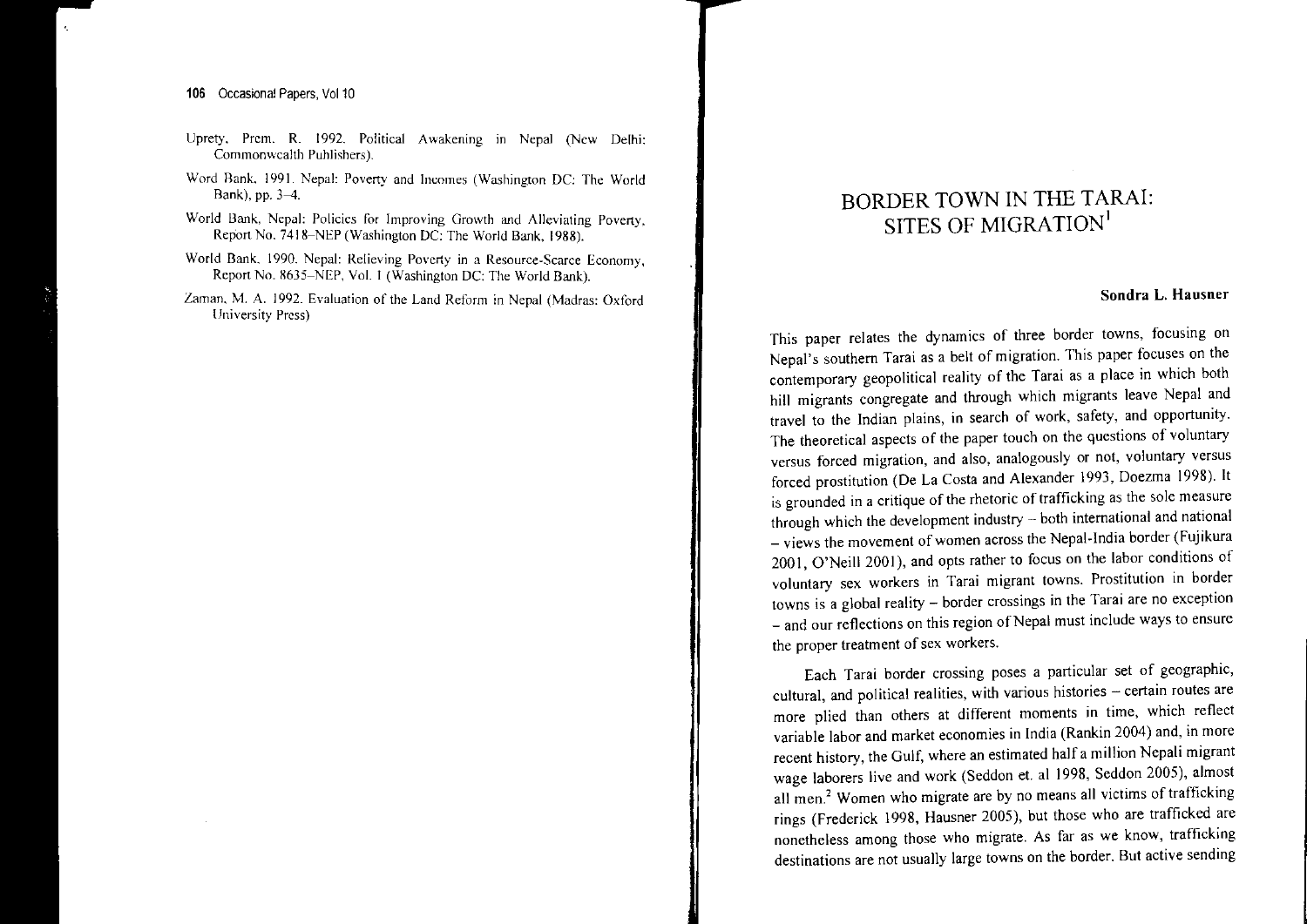## 106 Occasional Papers, Vol.10

- Uprety, Prem. R. 1992. Political Awakening in Nepal (New Delhi: Commonwealth Puhlishers).
- Word Bank, 1991. Nepal: Poverty and Incomes (Washington DC: The World Bank), pp. 3-4.
- World Bank, Nepal: Policies for Improving Growth and Alleviating Poverty Report No. 7418-NEP (Washington DC: The World Bank, 1988). '
- world Bank, 1990. Nepal: Relieving Poverty in a Resource-Scarce Economy Report No. 8635–NEP, Vol. I (Washington DC: The World Bank).
- Zaman..M. 1992. Evaluation of the Land Reform in Nepal (Madras: Oxford University Press)

# BORDER TOWN IN THE TARAI: SITES OF MIGRATION<sup>I</sup>

### Sondra L. Hausner

This paper relates the dynamics of three border towns, focusing or Nepal's southern Tarai as <sup>a</sup> belt of migration. This paper focuses on the contemporary geopolitical reality of the Tarai as <sup>a</sup> place in which both hill migrants congregate and through which migrants leave Nepal and travel to the Indian plains, in search of work, safety, and opportunity. The theoretical aspects of the paper touch on the questions of voluntary versus forced migration, and also, analogously or not, voluntary versus forced prostitution (De La Costa and Alexander 1993, Doezma 1998). It is grounded in a critique of the rhetoric of trafficking as the sole measure through which the development industry  $-$  both international and national \_ views the movement of women across the Nepal-India border (Fujikura 2001  $\Omega$ Neill 2001), and onts rather to focus on the labor conditions of voluntary sex workers in Tarai migrant towns. Prostitution in border towns is <sup>a</sup> global reality - border crossings in the Tarai are no exception \_ and our reflections on this region ofNepal must include ways to ensure the proper treatment of sex workers.

Each Tarai border crossing poses <sup>a</sup> particular set of geographic, cultural, and political realities, with various histories  $-$  certain routes are more plied than others at different moments in time, which reflect variable labor and market economies in India (Rankin 2004) and, in more recent history, the Gulf, where an estimated half <sup>a</sup> million Nepali migrant wage laborers live and work (Seddon et. al 1998, Seddon 2005), almost all men.<sup>2</sup> Women who migrate are by no means all victims of trafficking rings (Frederick 1998, Hausner 2005), but those who are trafficked are nonetheless among those who migrate. As far as we know, trafficking destinations are not usually large towns on the border. But active sending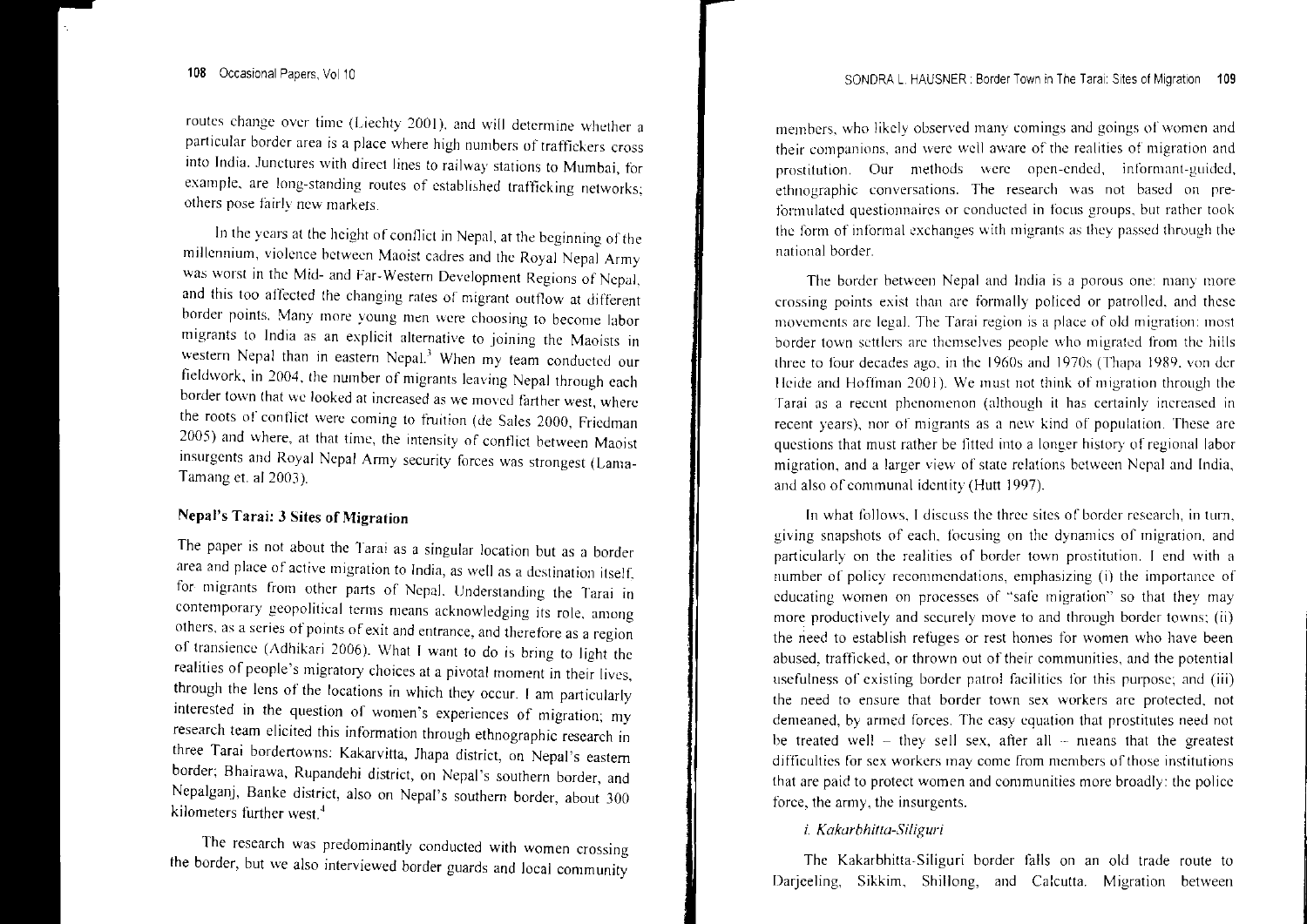routes change over time (Lieenty 2001), and will determine whether a particular border area is <sup>a</sup> place where high numbers of traffickers cross the India. Junctures with direct lines to railway stations to Mumbai, for example, are long-standing routes of established trafficking networks; others pose tam'y flew markets.

In the years at the height of conflict in Nepal, at the beginning of the millennium, violence between Maoist cadres and the Royal Nepal Army was worst in the 1910- and Far-Western Development Regions of Nepal and this too affected the changing rates of migrant outflow at different border points. Many more young men were choosing to become Jahor migrants to India as an explicit alternative to joining the Maoists in western Nepal than in eastern Nepal.<sup>3</sup> When my team conducted our fieldwork, in 2004, the number of migrants leaving Nepal through each border town that we looked at increased as we moved farther west, where the roots of conflict were coming to fruition (de Sales 2000, Friedman 2005) and where, at that time, the intensity of conflict between Maoist insurgents and Royal Nepal Army security forces was strongest (Lama-Tamang et. al 2003).

## Nepal's Tarai: 3 Sites of Migration

The paper is not about the Tarai as <sup>a</sup> singular location but as <sup>a</sup> border area and place of active migration to India, as well as a destination itself, for implants from other parts of Nepal. Understanding the Tarai in contemporary geopolitical terms means acknowledging its role, among others, as <sup>a</sup> series of points of exit and entrance, and therefore as <sup>a</sup> region of transience (Adhikari 2006). What I want to do is bring to light thc realities of people's migratory choices at <sup>a</sup> pivotal moment in their lives, through the lens of the locations in which they occur I am particularly interested in the question of women's experiences of migration; my research team elicited this information through ethnographic research in three Tarai bordertowns: Kakarvitta, Jhapa district, on Nepal's eastern border; Bhairawa, Rupandehi district, on Nepal's southern border, and Nepalganj, Banke district, also on Nepal's southern border, about 300 kiJometcrs further west."

The research was predominantly conducted with women crossing the border, but \ve also interviewed border guards and local community

members, who likely observed many comings and goings of women and their companions, and were well aware of the realities of migration and prostitution. Our methods \\'ere open-ended, informant-guided, ethnographic conversations. The research was not based on preformulated questionnaires or conducted in focus groups, but rather took the form of informal exchanges with migrants as they passed through the national border.

The border between Nepal and India is a porous one: many more crossing points exist than are formally policed or patrolled, and these movements are legal. The Tarai region is a place of old migration: most border town settlers are themselves people \vho migrated from the hills three to four decades ago, in the  $1960s$  and  $1970s$  (Thapa 1989, von der Heide and Hoffman 2001). We must not think of migration through the Farai as a recent phenomenon (although it has certainly increased in recent years), nor of migrants as <sup>a</sup> new Kind of population. These are questions that must rather be fitted into a longer history of regional labor migration, and a larger view of state relations between Nepal and India, and also of communal identity (Hutt 1997).

In what follows. I discuss the three sites of border research, in turn, giving snapshots of each, focusing on the dynamics of migration, and particularly on the realities of border town prostitution. I end with <sup>a</sup> number of policy recommendations, emphasizing (i) the importance of educating women on processes of "safe migration" so that they may more productively and securely move to and through border towns: (ii) the need to establish refijges or rest homes for women who have been abused, trafficked, or thrown out of their communities, and the potential usefulness of existing border patrol facilities for this purpose; and (iii) the need to ensure that border town sex workers arc protected, not demeaned, by armed forces. The easy equation that prostitutes need not be treated well  $-$  they sell sex, after all  $-$  means that the greatest difficulties for sex workers may come from members ofthose institutions hat are paid to protect women and communities more broadly: the police force, the army, the insurgents.

## i. *Kakarbhitta-Siliguri*

The Kakarbhitta-Siliguri harder falls on an old trade route to Darieeling, Sikkim, Shillong, and Calcutta, Migration between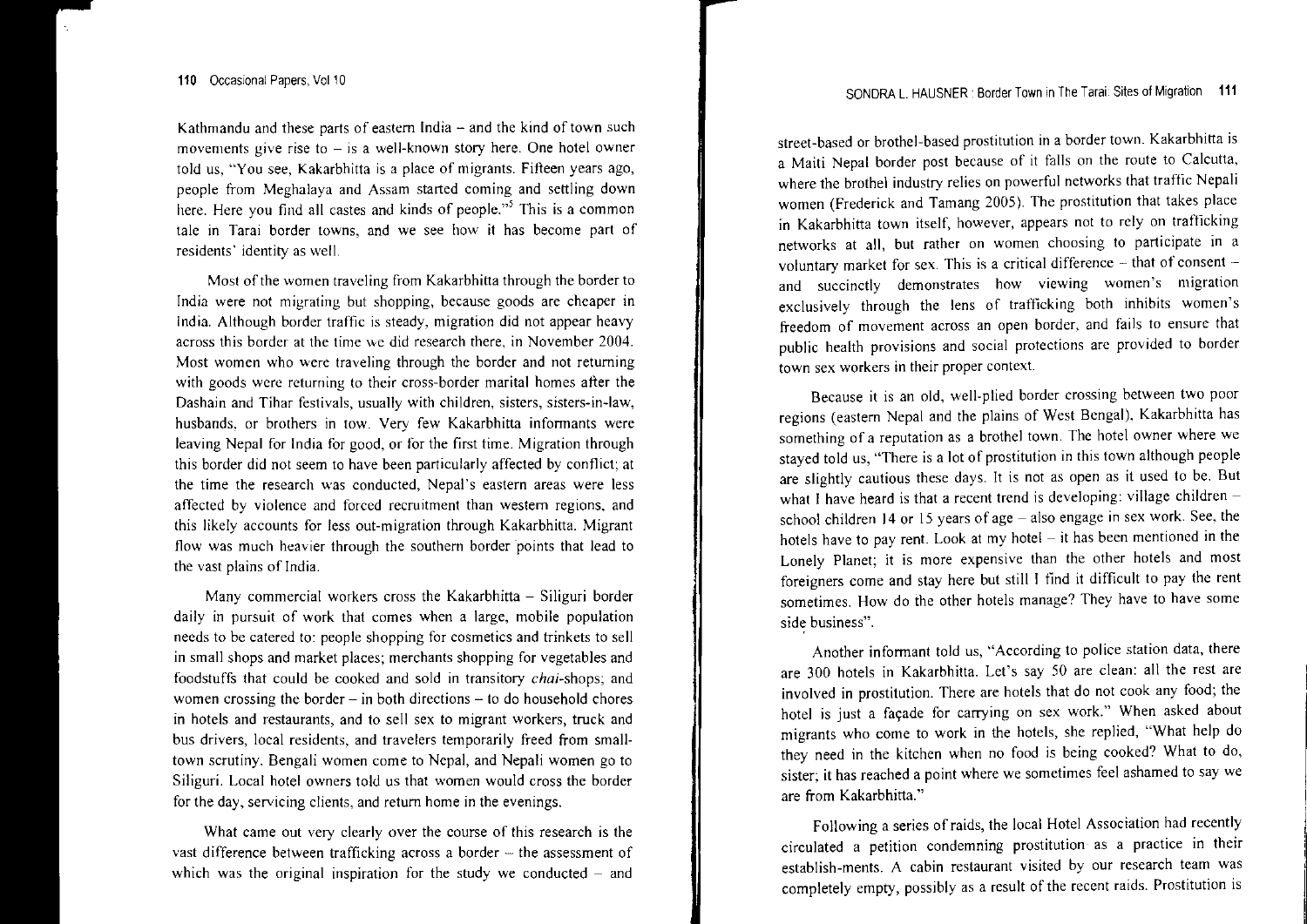Kathmandu and these parts of eastern India  $-$  and the kind of town such **movements give rise to - is <sup>a</sup> well-known story here. One hotcl owner** told us, "You see, Kakarbhitta is <sup>a</sup> place of migrants. Fifteen years ago, people from Meghalaya and Assam started coming and settling down here. Here you find all castes and kinds of people.'" This is <sup>a</sup> common ale in Tarai border towns, and we see how it has become part of **residents' identity as \vell.**

Most of the women traveling from Kakarbhitta through the border to **India were not migrating but shopping, because goods are cheaper in** India. Although border traffic is steady, migration did not appear heavy **across this border at the time we did research there, in November 2004. Most women who were travcling through the border and not returning with goods were returning to their cross-border marital homes after the Dashain and Tihar festivals, usually with children, sisters, sisters-in-law,** husbands, or brothers in tow. Very few Kakarbhitta informants were leaving Nepal for India for good, or for the first time. Migration through this border did not seem to have been particularly affected by conflict; at **the time the research was conducted, Nepal's eastern areas were less affected by violence and forced recruitment than western regions, and** this likely accounts for less out-migration through Kakarbhitta. Migrant **flow was much heavier through the southern border 'points that lead to** the vast plains of India.

Many commercial workers cross the Kakarbhitta  $-$  Siliguri border daily in pursuit of work that comes when <sup>a</sup> large, mobile population needs to be catered to: people shopping for cosmetics and trinkets to sell in small shops and market places; merchants shopping for vegetables and foodstuffs that could be cooked and sold in transitory *chai-shops;* and women crossing the border  $-$  in both directions  $-$  to do household chores **in hotels and restaurants, and to sell sex to migrant workers, truck and** bus drivers, local residents, and travelers temporarily freed from smalltown scrutiny. Bengali women come to Nepal, and Nepali women go to Siliguri. Local hotel owners told us that women would cross the border for the day, servicing clients, and return home in the evenings.

What came out very clearly over the course of this research is the vast difference between trafficking across a border  $-$  the assessment of which was the original inspiration for the study we conducted  $-$  and

**street-based or brothel-based prostitution in <sup>a</sup> border town. Kakarbhitta is** a Maiti Nepal border pos<sup>t</sup> because of it falls on the route to Calcutta, where the brothel industry relies on powerful networks that traffic Nepali women (Frederick and Tamang 2005). The prostitution that takes place in Kakarbhitta town itself, however, appears not to rely on trat1lcking **networks at all, but rather on women choosing to participate in <sup>a</sup> voluntary market for sex. This is <sup>a</sup> critical difference - that of consent and succinctly demonstrates how viewing women's migration** exclusively through the lens of trafficking both inhibits women's **freedom of movement across an open border, and fails to ensure that public health provisions and social protections arc provided to border town sex workers in their proper context.**

**Because it is an old, well-plied border crossing between two poor** regions (eastern Nepal and the plains of West Bengal), Kakarbhitta has **something of <sup>a</sup> reputation as <sup>a</sup> brothel town. The hotel owner where we** stayed told us, "There is <sup>a</sup> lot of prostitution in this town although people are slightly cautious these days. It is not as open as it used to be. But what I have heard is that <sup>a</sup> recent trend is developing: village children school children **14** or 15 years of age - also engage in sex work. See, the hotels have to pay rent. Look at my hotel – it has been mentioned in the Lonely Planet; it is more expensive than the other hotels and most foreigners come and stay here but still I find it difficult to pay the rent sometimes. How do the other hotels manage? They have to have some **side business".**

Another informant told us, "According to police station data, there are 300 hotels in Kakarbhitta. Let's say 50 are clean: all the rest are involved in prostitution. There are hotels that do not cook any food; the hotel is just a façade for carrying on sex work." When asked about migrants who come to work in the hotels, she replied, "What help do they need in the kitchen when no food is being cooked? What to do, **sister; it has reached <sup>a</sup> point where we sometimes feel ashamed to say we** are from Kakarbhitta."

Following a series of raids, the local Hotel Association had recently circulated <sup>a</sup> petition condemning prostitution as <sup>a</sup> practice in their **establish-ments. A cabin restaurant visited by our research team was** completely empty, possibly as <sup>a</sup> result of the recent raids. Prostitution is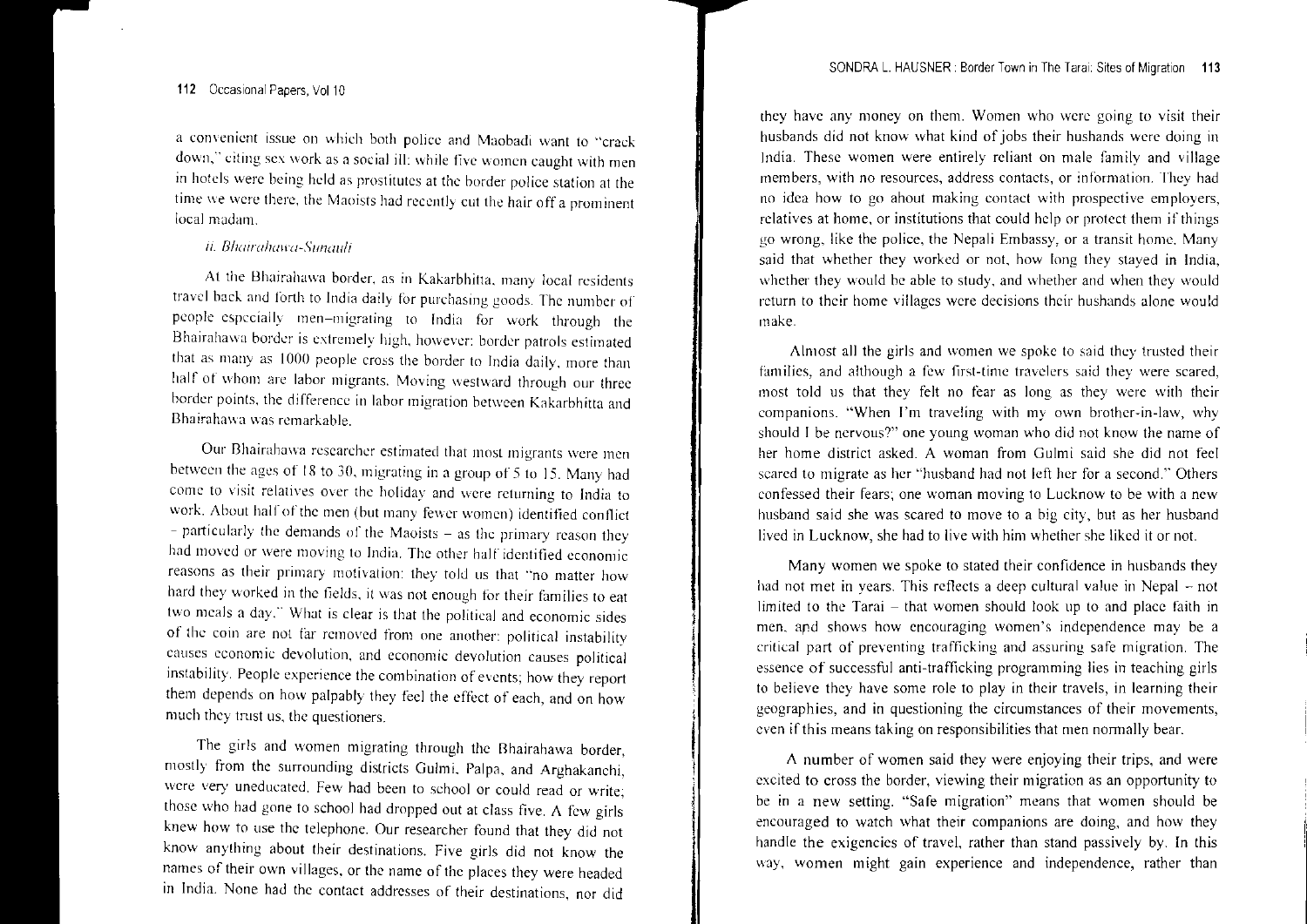a convenient issue on which both police and Maobadi want to "crack down," citing sex work as a social ill: while five women caught with men in hotels were being held as prostitutes at the border police station at the time we were there, the Maoists had recently cut the hair off a prominent local madam.

#### h. *Bhmra!lult'u-,)'unauh*

At the Bhairahawa border, as in Kakarbhitta, many local residents travel back and forth to India daily for purchasing goods. The number of people especially men-migrating to India for work through the Bhairahawa border is extremely high, however: border patrols estimated that as many as 1000 people cross the border to India daily, more than half of whom are labor migrants. Moving westward through our three border points, the difference in labor migration between Kakarbhitta and Bhairahawa was remarkable.

Our Bhairahawa researcher estimated that most migrants were men between the ages of 18 to 30, migrating in a group of 5 to 15. Many had come to visit relatives over the holiday' and \v'ere returning to India to work. About half of the men (but many' fewer \vomen) identified conflict - particularly the demands of the Maoists - as the primary reason thev had moved or were moving to India. The other half identified reasons as their primary motivation: they told us that "no matter how hard they worked in the fields, it was not enough for their families to eat two meals a day." What is clear is that the political and economic sides of the coin are not far removed from one another: political instability causes economic devolution, and economic devolution causes instability. People experience the combination of events; how they repor<sup>t</sup> them depends on how palpably they feel the effect of each, and on how much they trust us, the questioners.

The girls and women migrating through the Bhairahawa border, mostly from the surrounding districts Gulmi, Palpa, and Arghakanchi, were very uneducated. Few had been to school or could read or write those who had gone to school had dropped out at class five. A few girls knew how to use the telephone. Our researcher found that they did not know anything about their destinations. Five girls did not know the names of their own villages, or the name of the places they were headed in India. None had the contact addresses of their destinations, nor did

they have any money on them. Women who \vere going to visit their husbands did not know what kind of jobs their hushands were doing in India. These women were entirely reliant on male family and village members, with no resources, address contacts, or information. They had no idea how to go about making contact with prospective employers, relatives at home, or institutions that could help or protect them if things go wrong, like the police, the Nepali Embassy, or <sup>a</sup> transit home, Many said that whether they worked or not, how long they stayed in India. whether they would be able to study, and whether and when they would return to their home villages were decisions their husbands alone would make.

Almost all the girls and women we spoke to said they trusted their families, and although a few first-time travelers said they were scared, most told us that they felt no fear as long as they \"'ere with their companions, "When I'm traveling with my own brother-in-law, why should I be nervous?" one young woman who did not know the name of her home district asked. A woman from Gulmi said she did not feel scared to migrate as her "husband had not left her for <sup>a</sup> second." Others confessed their fears; one woman moving to Lucknow to be with a new husband said she was scared to move to <sup>a</sup> big city, but as her husband lived in Lucknow, she had to live with him whether she liked it or not.

Many women we spoke to stated their confidence in husbands they had not met in years. This reflects <sup>a</sup> deep cultural value in Nepal - not limited to the Tarai - that women should look up to and place faith in men, ard shows how encouraging women's independence may be <sup>a</sup> critical par<sup>t</sup> of preventing trafficking and assuring safe migration. The essence of successful anti-trafficking programming lies in teaching girls to believe they have some role to play in their travels, in learning their geographies, and in questioning the circumstances of their movements, even if this means taking on responsibilities that men normally bear.

A number of women said they were enjoying their trips, and were excited to cross the border, viewing their migration as an opportunity to be in a new setting. "Safe migration" means that women should be encouraged to watch what their companions are doing, and how they handle the exigencies of travel, rather than stand passively by. In this way, women might gain experience and independence, rather than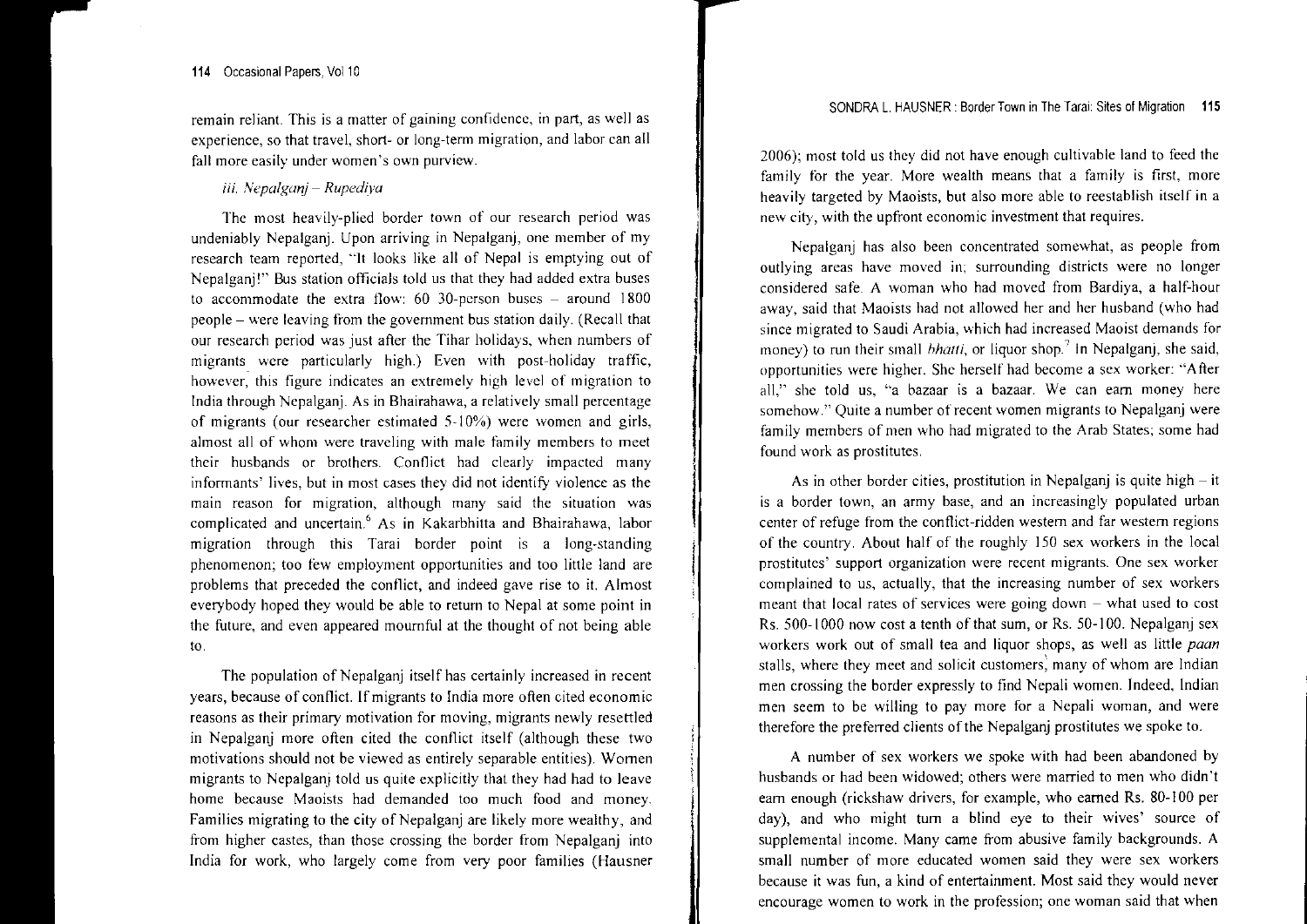**remain reliant. This is <sup>a</sup> matter of gaining confidence, in part, as well as experience, so that travel, short- or long-tenn migration, and labor can all fall more easily under women's O\vn purview.**

i*ii. Nepalganj – Rupediya* 

**The most heavily-plied border town of our research period was** undeniably Nepalganj. Upon arriving in Nepalganj, one member of my research team reported, "It looks like all of Nepal is emptying out of Nepalganj!" Bus station officials told us that they had added extra buses to accommodate the extra flow: 60 30-person buses - around 1800 people - were leaving from the governmen<sup>t</sup> bus station daily. (Recall that **our research period was just after the Tihar holidays, when numbers of** migrants were particularly high.) Even with post-holiday traffic, **however, this figure indicates an extremely high level of migration to** India through Nepalganj. As in Bhairahawa, <sup>a</sup> relatively small percentage **of migrants (our researcher estimated were \vomen and girls, almost all of whom were traveling with male family members to meet** their husbands or brothers. Conflict had clearly impacted many **infonnants" lives, but in most cases they did not identify violence as the main reason for migration, although many said the situation \vas** complicated and uncertain.<sup>6</sup> As in Kakarbhitta and Bhairahawa, labor **migration through this Tarai border point is <sup>a</sup> long-standing phenomenon; too few employment opportunities and too little land are** problems that preceded the conflict, and indeed gave rise to it. Almost everybody hoped they would be able to return to Nepal at some point in the future, and even appeared mournful at the thought of not being able to.

The population of Nepalganj itself has certainly increased in recent years, because of conflict. If migrants to India more often cited economic **reasons as their primary motivation for moving, migrants newly resettled** in Nepalganj more often cited the conflict itself (although these two **motivations should not be viewed as entirely separable entities). Women** migrants to Nepalganj told us quite explicitly that they had had to leave home because Maoists had demanded too much food and money. Families migrating to the city of Nepalganj are likely more wealthy, and from higher castes, than those crossing the border from Nepalganj into India for work, who largely come from very poor families (Hausner

2006); most told us they did not have enough cultivable land to feed the family for the year. More wealth means that <sup>a</sup> family is first, more heavily targeted by Maoists, but also more able to reestablish itself in <sup>a</sup> **new city, with the upfront economic investment that requires.**

Nepalganj has also been concentrated somewhat, as people from **outlying areas have moved surrounding districts were no longer** considered safe. A woman who had moved from Bardiya, <sup>a</sup> half-hour away, said that Maoists had not allowed her and her husband (who had **since migrated to Saudi Arabia, \vhich had increased Maoist demands for** money) to run their small *bhatti*, or liquor shop.<sup>7</sup> In Nepalganj, she said, **opportunities were higher. She herself had become <sup>a</sup> sex worker: "After all," she told us, "a bazaar is <sup>a</sup> bazaar. We can eam money here somehow." Quite <sup>a</sup> number** of recent **women migrants to Nepalganj were** family members of men who had migrated to the Arab States; some had **found work as prostitutes.**

As in other border cities, prostitution in Nepalganj is quite high – it **is a border town, an army base, and an increasingly populated urban center of refuge from the conflict-ridden western and far western regions** of the country. About half of the roughly ISO sex workers in the local **prostitutes' support organization were recent migrants. One sex worker complained to us, actually, that the increasing number of sex workers meant that local rates of services were going down - what used to cost** Rs. 500-1000 now cost a tenth of that sum, or Rs. 50-100. Nepalganj sex workers work out of small tea and liquor shops, as well as little *paan* **stalls, where they meet and solicit customers: many of whom are Indian** men crossing the border expressly to find Nepali women. Indeed, Indian **men seem to be willing to pay more for <sup>a</sup> Nepali woman, and were** therefore the preferred clients of the Nepalganj prostitutes we spoke to.

A number of sex workers we spoke with had been abandoned by husbands or had been widowed; others were married to men who didn't earn enough (rickshaw drivers, for example, who earned Rs. 80-J00 per day), and who might turn <sup>a</sup> blind eye to their wives' source of supplemental income. Many came from abusive family backgrounds. A small number of more educated women said they were sex workers because it was fun, <sup>a</sup> kind of entertainment. Most said they would never **encourage women to work in the profession; one woman said that when**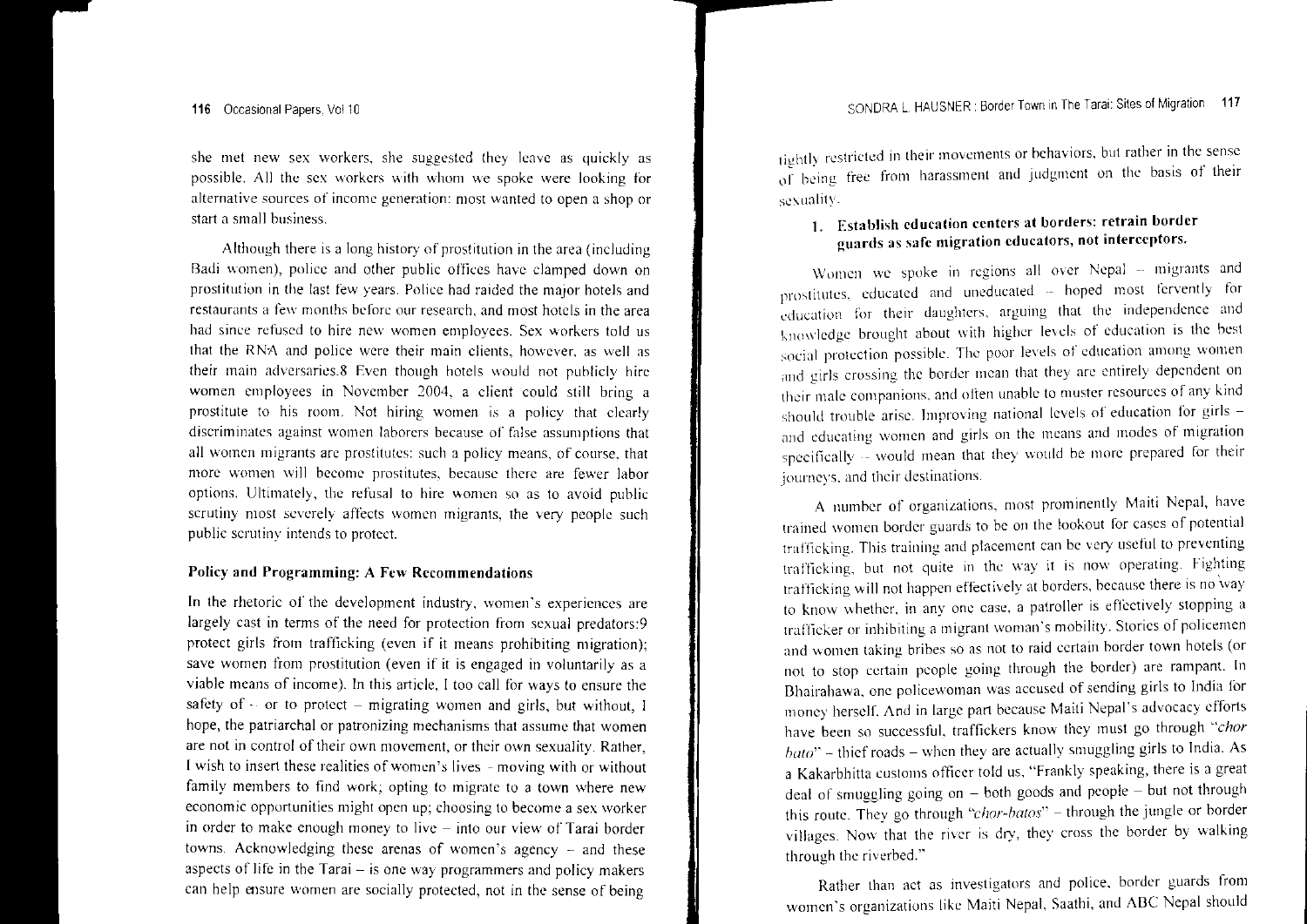she met new sex workers, she suggested they leave as quickly as possible. All the sex workers with whom we spoke were looking for alternative sources of income generation: most wanted to open <sup>a</sup> shop or start a small business.

Although there is <sup>a</sup> long history of prostitution in the area (including Badi women), police and other public offices have clamped down on prostitution in the last few years. Police had raided the major hotels and restaurants a few months before our research, and most hotels in the area had since refused to hire nc\v \vomen employees. Sex workers told us that the RNA and police \vcrc their main clients, however. as well as their main adversaries.8 Even though hotels \\"ould not publicly hire women employees in November 2004, <sup>a</sup> client could still bring <sup>a</sup> prostitute to his room. Not hiring women is a policy that clearly discriminates against \vomcn laborcrs because of assumptions that all women migrants are prostitutes: such <sup>a</sup> policy means, of course. that more women will become prostitutes, because there are fewer labor options. Ultimately, the refusal to hire women so as to avoid public scrutiny most severely affects women migrants, the very people such public scrutiny intends to protect.

### Policy and Programming: A Few Recommendations

In the rhetoric of the development industry, \vomen's experiences are largely cast in terms of the need for protection from sexual predators:9 protect girls from trafficking (even if it means prohibiting migration); save women from prostitution (even if it is engaged in voluntarily as a viable means of income), In this article, I too call for ways to ensure the safety of  $\cdot$  or to protect – migrating women and girls, but without, I hope, the patriarchal or patronizing mechanisms that assume that women are not in control of their own movement, or their own sexuality, Rather, I wish to insert these realities of women's lives -- moving with or without family members to find work; opting to migrate to <sup>a</sup> town where new economic opportunities might open up; choosing to become <sup>a</sup> sex worker n order to make enough money to live – into our view of Tarai border towns. Acknowledging these arenas of women's agency  $-$  and these aspects of life in the Tarai  $-$  is one way programmers and policy makers can help ensure women are socially protected, not in the sense of being

tightly restricted in their movements or behaviors, but rather in the sensoof being free from harassment and judgment on the basis of their sexuality.

## I, Establish education ccnters at borders: retrain border guards as safe migration educators, not interceptors

Women we spoke in regions all over Nepal – migrants and prostitutes, educated and uneducated -- hoped most fervently for  $\omega$ ducation for their daughters, arguing that the independence and knowledge brought about with higher levels of education is the best social protection possible. The poor levels of education among women and girls crossing the border mean that they are entirely dependent on and often unable to muster resources of any' kind should trouble arise. Improving national levels of education for girls and educating women and girls on the means and modes of migration specifically  $\cdot$  would mean that they would be more prepared for their journeys. and their destinations.

A number of organizations, most prominently Maiti Nepal, have trained women border guards to be on the lookout for cases of potential trafficking. This training and placement can be very useful to preventing but not quite in the way it is now operating. trafficking will not happen effectively at borders, because there is no way to know whether, in anv onc case, <sup>a</sup> patroller is effectively stopping <sup>a</sup> Irafficker or inhibiting a migrant woman's mobility. Stories of policemen and women taking bribes so as not to raid certain border town hotels (or not to stop certain people going through the border) are rampant. In Bhairahawa. onc policewoman \vas accused of sending girls to India for money herself. And in large par<sup>t</sup> because Maiti Nepal's advocacy efforts have been so successful, traffickers knov,' they must go through *"chor*  $b_{\alpha\beta}$   $\sim$  thief roads – when they are actually smuggling girls to India, As a Kakarbhitta customs officer told us. "Frankly speaking, there is a great deal of smuggling going on - both goods and people - but not through this route. They go through *"chor-batos"* - through the jungle or border villages. Now that the river is dry, they cross the border by walking through the riverbed."

Rather than act as investigators and police, border guards from women's organizations like Maiti Nepal. Saathi, and ABC Nepal should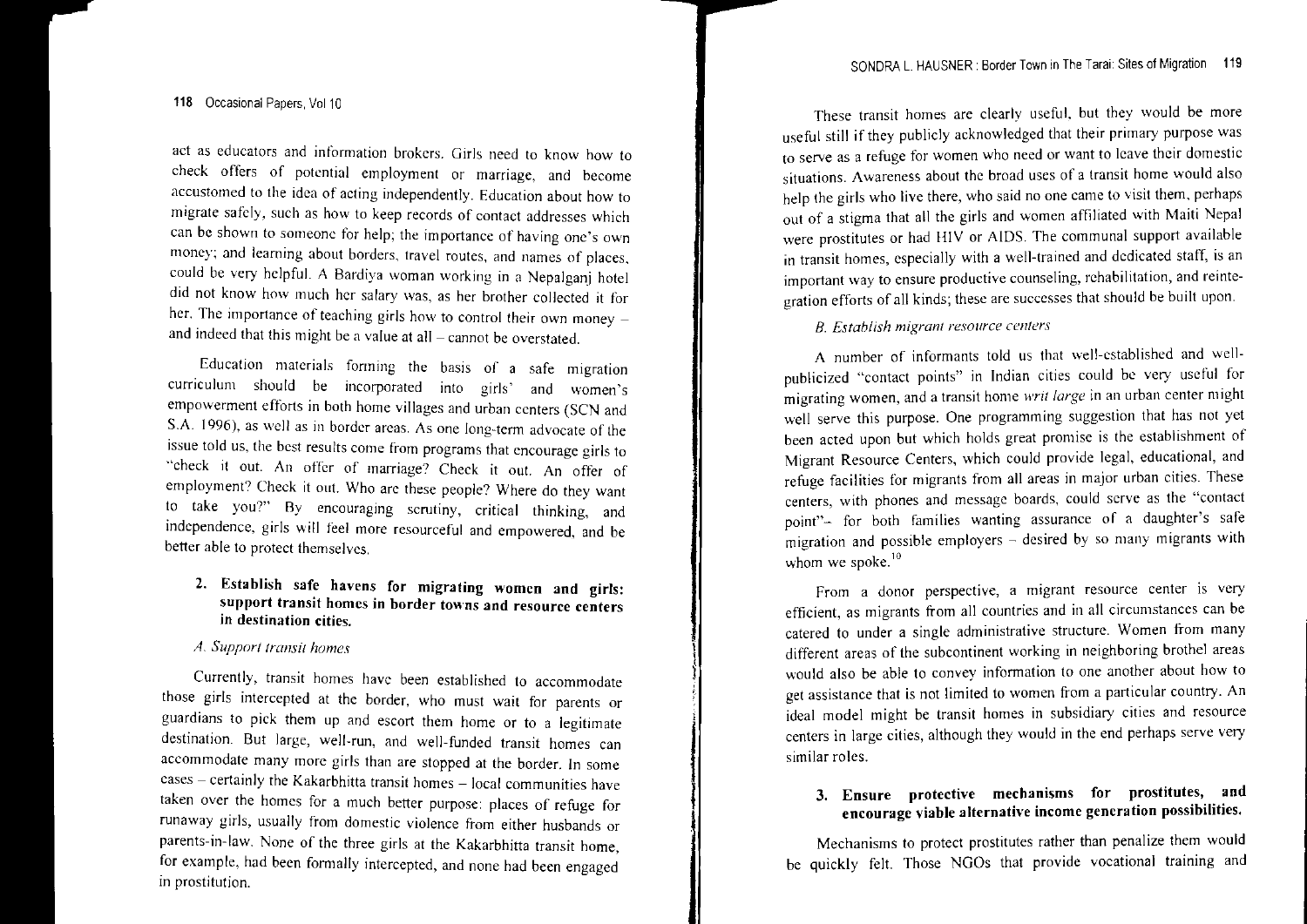118 Occasional Papers, ValID

act as educators and information brokers. Girls need to know how to check offers of potential employment or marriage, and become accustomed to the idea of acting independently. Education about how to migrate safely, such as how to keep records of contact addresses which can be shown to someone for help; the importance of having onc's own money; and learning about borders, travel routes, and names of places, could be very helpful. A Bardiya woman working in a Nepalganj hotel did not know how much her salary was, as her brother collected it for her. The importance of teaching girls how to control their own money  $\overline{\phantom{a}}$ and indeed that this might be <sup>a</sup> value at all- cannot be overstated.

Education materials forming the basis of <sup>a</sup> safe migration curriculum should be incorporated into girls' and \vomen's empowermen<sup>t</sup> efforts in both home villages and urban centers (SCN and S.A. 1996), as well as in border areas. As one long-tenn advocate of the issue told us, the best results come from programs that encourage girls to "check it out. An offer of marriage? Check it out. An offer of employment? Check it out. Who are these people? Where do they want to take you? By encouraging scrutiny, critical thinking, and independence, girls will feel more resourceful and empowered, and be better able to protect themselves.

### 2. Establish safe havens for migrating women and girls: suppor<sup>t</sup> transit homes in border towns and resource centers in destination cities.

### *A. Support transit homes*

Currently, transit homes havc been established to accommodate those girls intercepted at the border, who must wait for parents or guardians to pick them up and escort them home or to <sup>a</sup> legitimate destination. But large, well-run, and well-funded transit homes can accommodate many morc girls than are stopped at the border. In some cases – certainly the Kakarbhitta transit homes – local communities have aken over the homes for a much better purpose: places of refuge for runaway girls, usually from domestic violence from either husbands or parents-in-law. None of the three girls at the Kakarbhitta transit home, for example, had been formally intercepted, and none had been engaged in prostitution.

These transit homes are clearly useful. but they would he more useful still if they publicly acknowledged that their primary purpose was to serve as <sup>a</sup> refuge for women who need or want to leave their domestlc situations. Awareness about the broad uses of a transit home would also help the girls who live there, who said no one came to visit them, perhaps out of a stigma that all the girls and women affiliated with Maltl Nepal were prostitutes or had H[V or AIDS. The communal suppor<sup>t</sup> available in transit homes, especially with <sup>a</sup> well-trained and dedicated statf, IS an important way to ensure productive counseling, rehabilitation, and reintegration efforts of all kinds; these are successes that should be built upon.

E. *Estahlish migrant resource centers*

A number of informants told us that we[l-established and wellblicized "contact points" in Indian cities could be very useful for migrating women, and a transit home writ *large* in an urban center might well serve this purpose. One programming suggestion that has not yet been acted upon but which holds grea<sup>t</sup> promise is the establishment of Migrant Resource Centers, which could provide legal, educational, and refuge facilities for migrants from all areas in major urban cities. These nters, with phones and message boards, could serve as the "contact for both families wanting assurance of <sup>a</sup> migration and possible employers - desired by so many migrants with whom we spoke. $^{10}$ 

From <sup>a</sup> donor perspective, <sup>a</sup> migrant resource center is very efficient, as migrants from all countries and in all circumstances can be catered to under <sup>a</sup> single administrative structure. Women from many different areas of the subcontinent working in neighboring brothel areas would also be able to convey information to one another about how to get assistance that is not limited to women from a particular country. An ideal model might be transit homes in subSidiary cities and resource centers in large cities, although they would in the end perhaps serve very similar roles.

### 3. Ensure protective mechanisms for prostitutes, encourage viable alternative income generation possibilities.

Mechanisms to protect prostitutes rather than penalize them would be quickly felt. Those NGOs that provide vocational training and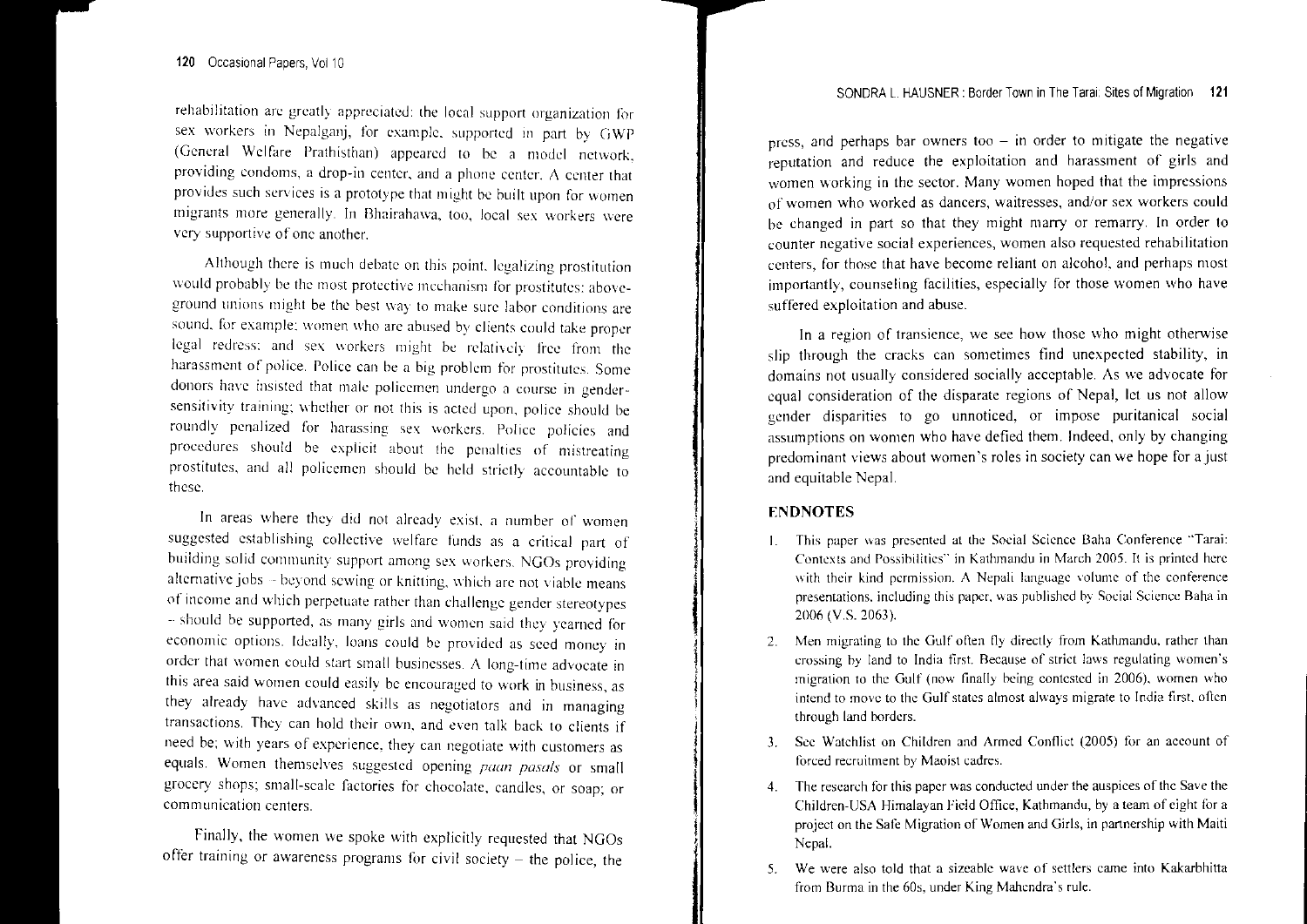rehabilitation are greatly appreciated: the local support organization for sex workers in Nepalganj, for example, supported in part by GWP (General Welfare Prathisthan) appeared to be a model network, providing condoms, a drop-in center, and a phone center.  $\Lambda$  center that provides such services is <sup>a</sup> prototype that might be built upon for women migrants more generally. In Bhairahawa, too, local sex workers were very supportive of one another.

Although there is much debate on this point, legalizing prostitution would probably be the most protective mechanism for prostitutes: aboveground unions might be the best way to make sure labor conditions are sound, for example: women who arc abused by clients could take proper legal redress; and sex workers might be relatively free from the harassment of police. Police can be <sup>a</sup> big problem for prostitutes. Some donors havc insisted that male policcmen undergo <sup>a</sup> course in gendersensitivity training: whether or not this is acted upon, police should be roundly' penalized for harassing sex workers. Police policies and procedures should be explicit about the penalties of mistreating prostitutes, and all policemen should be held strictly' accountable to these.

In areas \vhere they' did not already exist. <sup>a</sup> number or women suggested establishing collective welfare funds as <sup>a</sup> critical par<sup>t</sup> of building solid community support among sex workers. NGOs providing alternative jobs - beyond sewing or knitting, which are not viable means of income and \\'hich perpetuate rather than challenge gender stereotypes should be supported, as many girls and women said they yearned for economic options. Ideally, loans could be provided as seed money in order that women could start small businesses. A long-time advocate in this area said women could easily be encouraged to work in business, as they already have advanced skills as negotiators and in managing transactions. They can hold their own, and even talk back to clients if need be; with years of experience, they can negotiate with customers as equals. Women themselves suggested opening *paan pasals* or small grocery shops; small-scale factories for chocolate, candles, or soap; or communication centers.

Finally, the women we spoke with explicitly requested that NGOs offer training or awareness programs for civil society  $-$  the police, the press, and perhaps bar owners too  $-$  in order to mitigate the negative  $r$  reputation and reduce the exploitation and harassment of girls and women working in the sector. Many women hoped that the impressions of women who worked as dancers, waitresses, and/or sex workers could be changed in par<sup>t</sup> so that they might marry or remarry, In order to counter negative social experiences, women also requested rehabilitation centers, for those that have become reliant on alcohol, and perhaps most importantly, counseling facilities, especially for those women who have suffered exploitation and abuse,

In a region of transience, we see how those who might otherwise slip through the cracks can sometimes find unexpected stability, in domains not usually considered socially acceptable. As \ve advocate for equal consideration of the disparate regions of Nepal, let us not allow gender disparities to go unnoticed, or impose puritanical social assumptions on women who have defied them, Indeed, only by changing predominant views about women's roles in society can we hope for a just and equitable Nepal,

### ENDNOTES

1i

|<br>|<br>|

j<br>Jan Personal Park Pro

I

|<br>|<br>|

- I. This puper \Vas presented at the Social Seience Balm Conference "Tarai: Contexts and Possibilities" in Kathmandu in March 2005. It is printed here with their kind permission. A Nepali language volume of the conference presentations, including this paper, was published by Social Science Baha in 2006 (V.S. 2063).
- 2.. Men migrating to the Gulf often fly directly from Kathmandu, rather than crossing by land to India first. Because of strict laws regulating women's migration to the Gulf (now finally being contested in 2006), women who intend to move to the Gulf states almost always migrate to India first. often through land borders,
- 3. Sce Vlatchlist on Children and Armed Conflict (2005) for an account of forced recruitment by Maoist cadres.
- 4. The research for this paper was conducted under the auspices of the Save the Children-USA Himalayan Field Office, Kathmandu, by <sup>a</sup> team of eight for <sup>a</sup> project on the Safe Migration of Women and Girls, in partnership \\'ith Maiti Nepal,
- 5. We were also told that <sup>a</sup> sizeable wave of settlers came into Kakarbhitta from Burma in the 60s, under King Mahendra's rule.